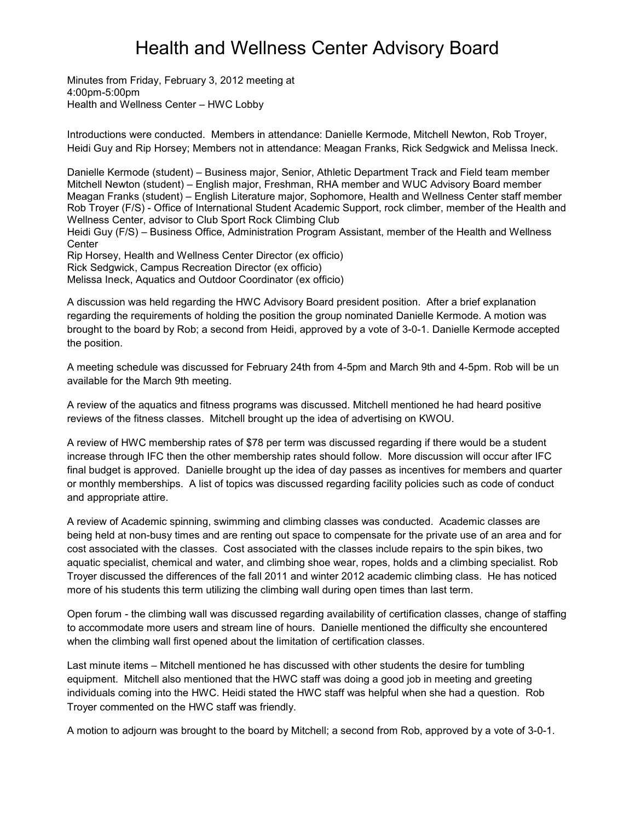## Health and Wellness Center Advisory Board

Minutes from Friday, February 3, 2012 meeting at 4:00pm-5:00pm Health and Wellness Center – HWC Lobby

Introductions were conducted. Members in attendance: Danielle Kermode, Mitchell Newton, Rob Troyer, Heidi Guy and Rip Horsey; Members not in attendance: Meagan Franks, Rick Sedgwick and Melissa Ineck.

Danielle Kermode (student) – Business major, Senior, Athletic Department Track and Field team member Mitchell Newton (student) – English major, Freshman, RHA member and WUC Advisory Board member Meagan Franks (student) – English Literature major, Sophomore, Health and Wellness Center staff member Rob Troyer (F/S) - Office of International Student Academic Support, rock climber, member of the Health and Wellness Center, advisor to Club Sport Rock Climbing Club

Heidi Guy (F/S) – Business Office, Administration Program Assistant, member of the Health and Wellness **Center** 

Rip Horsey, Health and Wellness Center Director (ex officio) Rick Sedgwick, Campus Recreation Director (ex officio) Melissa Ineck, Aquatics and Outdoor Coordinator (ex officio)

A discussion was held regarding the HWC Advisory Board president position. After a brief explanation regarding the requirements of holding the position the group nominated Danielle Kermode. A motion was brought to the board by Rob; a second from Heidi, approved by a vote of 3-0-1. Danielle Kermode accepted the position.

A meeting schedule was discussed for February 24th from 4-5pm and March 9th and 4-5pm. Rob will be un available for the March 9th meeting.

A review of the aquatics and fitness programs was discussed. Mitchell mentioned he had heard positive reviews of the fitness classes. Mitchell brought up the idea of advertising on KWOU.

A review of HWC membership rates of \$78 per term was discussed regarding if there would be a student increase through IFC then the other membership rates should follow. More discussion will occur after IFC final budget is approved. Danielle brought up the idea of day passes as incentives for members and quarter or monthly memberships. A list of topics was discussed regarding facility policies such as code of conduct and appropriate attire.

A review of Academic spinning, swimming and climbing classes was conducted. Academic classes are being held at non-busy times and are renting out space to compensate for the private use of an area and for cost associated with the classes. Cost associated with the classes include repairs to the spin bikes, two aquatic specialist, chemical and water, and climbing shoe wear, ropes, holds and a climbing specialist. Rob Troyer discussed the differences of the fall 2011 and winter 2012 academic climbing class. He has noticed more of his students this term utilizing the climbing wall during open times than last term.

Open forum - the climbing wall was discussed regarding availability of certification classes, change of staffing to accommodate more users and stream line of hours. Danielle mentioned the difficulty she encountered when the climbing wall first opened about the limitation of certification classes.

Last minute items – Mitchell mentioned he has discussed with other students the desire for tumbling equipment. Mitchell also mentioned that the HWC staff was doing a good job in meeting and greeting individuals coming into the HWC. Heidi stated the HWC staff was helpful when she had a question. Rob Troyer commented on the HWC staff was friendly.

A motion to adjourn was brought to the board by Mitchell; a second from Rob, approved by a vote of 3-0-1.